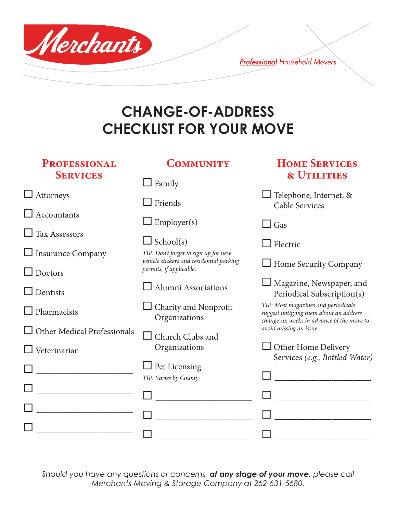

**Professional Household Movers** 

## **CHANGE-OF-ADDRESS CHECKLIST FOR YOUR MOVE**

| <b>PROFESSIONAL</b><br><b>SERVICES</b> | <b>COMMUNITY</b>                                                    | <b>HOME SERVICES</b><br><b>&amp; UTILITIES</b>                                                                               |  |  |  |
|----------------------------------------|---------------------------------------------------------------------|------------------------------------------------------------------------------------------------------------------------------|--|--|--|
|                                        | $\Box$ Family                                                       |                                                                                                                              |  |  |  |
| $\Box$ Attorneys                       | $\Box$ Friends                                                      | $\Box$ Telephone, Internet, &<br><b>Cable Services</b>                                                                       |  |  |  |
| $\Box$ Accountants                     | $\Box$ Employer(s)                                                  | $\Box$ Gas                                                                                                                   |  |  |  |
| $\Box$ Tax Assessors                   | $\Box$ School(s)                                                    | Electric                                                                                                                     |  |  |  |
| $\Box$ Insurance Company               | TIP: Don't forget to sign up for new                                |                                                                                                                              |  |  |  |
| $\Box$ Doctors                         | vehicle stickers and residential parking<br>permits, if applicable. | $\Box$ Home Security Company                                                                                                 |  |  |  |
| $\Box$ Dentists                        | Alumni Associations                                                 | Magazine, Newspaper, and<br>Periodical Subscription(s)                                                                       |  |  |  |
| $\Box$ Pharmacists                     | $\Box$ Charity and Nonprofit<br>Organizations                       | TIP: Most magazines and periodicals<br>suggest notifying them about an address<br>change six weeks in advance of the move to |  |  |  |
| $\Box$ Other Medical Professionals     | Church Clubs and                                                    | avoid missing an issue.                                                                                                      |  |  |  |
| Veterinarian                           | Organizations                                                       | $\Box$ Other Home Delivery<br>Services (e.g., Bottled Water)                                                                 |  |  |  |
|                                        | $\Box$ Pet Licensing                                                |                                                                                                                              |  |  |  |
|                                        | TIP: Varies by County                                               |                                                                                                                              |  |  |  |
|                                        |                                                                     |                                                                                                                              |  |  |  |
|                                        |                                                                     |                                                                                                                              |  |  |  |
|                                        |                                                                     |                                                                                                                              |  |  |  |
|                                        |                                                                     |                                                                                                                              |  |  |  |

*Should you have any questions or concerns, at any stage of your move, please call Merchants Moving & Storage Company at 262-631-5680.*